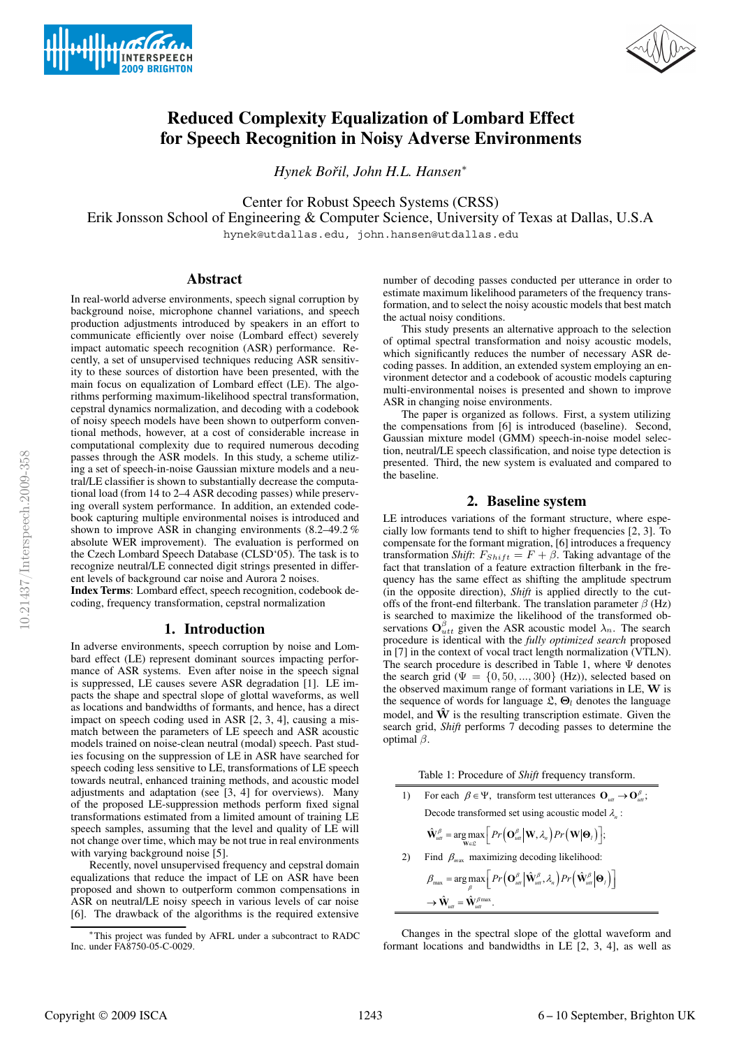



# **Reduced Complexity Equalization of Lombard Effect for Speech Recognition in Noisy Adverse Environments**

*Hynek Bořil, John H.L. Hansen*<sup>\*</sup>

Center for Robust Speech Systems (CRSS)

Erik Jonsson School of Engineering & Computer Science, University of Texas at Dallas, U.S.A

hynek@utdallas.edu, john.hansen@utdallas.edu

# **Abstract**

In real-world adverse environments, speech signal corruption by background noise, microphone channel variations, and speech production adjustments introduced by speakers in an effort to communicate efficiently over noise (Lombard effect) severely impact automatic speech recognition (ASR) performance. Recently, a set of unsupervised techniques reducing ASR sensitivity to these sources of distortion have been presented, with the main focus on equalization of Lombard effect (LE). The algorithms performing maximum-likelihood spectral transformation, cepstral dynamics normalization, and decoding with a codebook of noisy speech models have been shown to outperform conventional methods, however, at a cost of considerable increase in computational complexity due to required numerous decoding passes through the ASR models. In this study, a scheme utilizing a set of speech-in-noise Gaussian mixture models and a neutral/LE classifier is shown to substantially decrease the computational load (from 14 to 2–4 ASR decoding passes) while preserving overall system performance. In addition, an extended codebook capturing multiple environmental noises is introduced and shown to improve ASR in changing environments (8.2–49.2 % absolute WER improvement). The evaluation is performed on the Czech Lombard Speech Database (CLSD'05). The task is to recognize neutral/LE connected digit strings presented in different levels of background car noise and Aurora 2 noises.

**Index Terms**: Lombard effect, speech recognition, codebook decoding, frequency transformation, cepstral normalization

# **1. Introduction**

In adverse environments, speech corruption by noise and Lombard effect (LE) represent dominant sources impacting performance of ASR systems. Even after noise in the speech signal is suppressed, LE causes severe ASR degradation [1]. LE impacts the shape and spectral slope of glottal waveforms, as well as locations and bandwidths of formants, and hence, has a direct impact on speech coding used in ASR [2, 3, 4], causing a mismatch between the parameters of LE speech and ASR acoustic models trained on noise-clean neutral (modal) speech. Past studies focusing on the suppression of LE in ASR have searched for speech coding less sensitive to LE, transformations of LE speech towards neutral, enhanced training methods, and acoustic model adjustments and adaptation (see [3, 4] for overviews). Many of the proposed LE-suppression methods perform fixed signal transformations estimated from a limited amount of training LE speech samples, assuming that the level and quality of LE will not change over time, which may be not true in real environments with varying background noise [5].

Recently, novel unsupervised frequency and cepstral domain equalizations that reduce the impact of LE on ASR have been proposed and shown to outperform common compensations in ASR on neutral/LE noisy speech in various levels of car noise [6]. The drawback of the algorithms is the required extensive

number of decoding passes conducted per utterance in order to estimate maximum likelihood parameters of the frequency transformation, and to select the noisy acoustic models that best match the actual noisy conditions.

This study presents an alternative approach to the selection of optimal spectral transformation and noisy acoustic models, which significantly reduces the number of necessary ASR decoding passes. In addition, an extended system employing an environment detector and a codebook of acoustic models capturing multi-environmental noises is presented and shown to improve ASR in changing noise environments.

The paper is organized as follows. First, a system utilizing the compensations from [6] is introduced (baseline). Second, Gaussian mixture model (GMM) speech-in-noise model selection, neutral/LE speech classification, and noise type detection is presented. Third, the new system is evaluated and compared to the baseline.

# **2. Baseline system**

LE introduces variations of the formant structure, where especially low formants tend to shift to higher frequencies [2, 3]. To compensate for the formant migration, [6] introduces a frequency transformation *Shift*:  $F_{Shift} = F + \beta$ . Taking advantage of the fact that translation of a feature extraction filterbank in the frequency has the same effect as shifting the amplitude spectrum (in the opposite direction), *Shift* is applied directly to the cutoffs of the front-end filterbank. The translation parameter  $\beta$  (Hz) is searched to maximize the likelihood of the transformed observations  $\mathbf{O}_{utt}^{\beta}$  given the ASR acoustic model  $\lambda_n$ . The search procedure is identical with the *fully optimized search* proposed in [7] in the context of vocal tract length normalization (VTLN). The search procedure is described in Table 1, where Ψ denotes the search grid ( $\Psi = \{0, 50, ..., 300\}$  (Hz)), selected based on the observed maximum range of formant variations in LE, W is the sequence of words for language  $\mathfrak{L}, \Theta_l$  denotes the language model, and  $\hat{W}$  is the resulting transcription estimate. Given the search grid, *Shift* performs 7 decoding passes to determine the optimal  $β$ .

For each  $\beta \in \Psi$ , transform test utterances  $\mathbf{O}_{ut} \to \mathbf{O}_{ut}^{\beta}$ ; Decode transformed set using acoustic model  $\lambda_n$ :  $\hat{\mathbf{W}}_{\text{utt}}^{\beta} = \argmax_{\mathbf{W} \in \mathcal{L}} \left[ Pr\left(\mathbf{O}_{\text{utt}}^{\beta} \middle| \mathbf{W}, \lambda_n\right) Pr\left(\mathbf{W} \middle| \mathbf{\Theta}_l\right) \right];$ 2) Find  $\beta_{\text{max}}$  maximizing decoding likelihood:  $\beta_{\textup{max}} = \argmax_{\beta} \left[ Pr\left(\mathbf{O}^{\beta}_{ut} \big| \hat{\mathbf{W}}^{\beta}_{ut}, \lambda_{n} \right) Pr\left(\hat{\mathbf{W}}^{\beta}_{ut} \big| \mathbf{\Theta}_{l} \right) \right]$  $\rightarrow \hat{\mathbf{W}}_{utt} = \hat{\mathbf{W}}_{utt}^{\beta \max}$ .

Changes in the spectral slope of the glottal waveform and formant locations and bandwidths in LE [2, 3, 4], as well as

<sup>∗</sup>This project was funded by AFRL under a subcontract to RADC Inc. under FA8750-05-C-0029.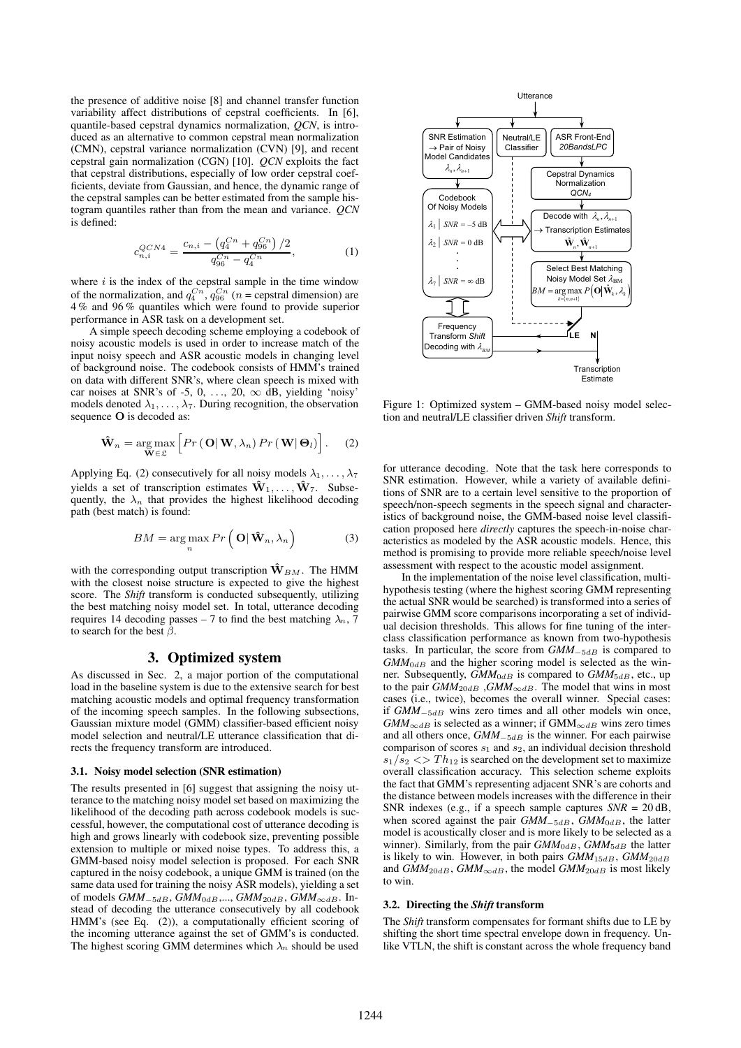the presence of additive noise [8] and channel transfer function variability affect distributions of cepstral coefficients. In [6], quantile-based cepstral dynamics normalization, *QCN*, is introduced as an alternative to common cepstral mean normalization (CMN), cepstral variance normalization (CVN) [9], and recent cepstral gain normalization (CGN) [10]. *QCN* exploits the fact that cepstral distributions, especially of low order cepstral coefficients, deviate from Gaussian, and hence, the dynamic range of the cepstral samples can be better estimated from the sample histogram quantiles rather than from the mean and variance. *QCN* is defined:

$$
c_{n,i}^{QCN4} = \frac{c_{n,i} - \left(q_4^{Cn} + q_{96}^{Cn}\right)/2}{q_{96}^{Cn} - q_4^{Cn}},\tag{1}
$$

where  $i$  is the index of the cepstral sample in the time window of the normalization, and  $q_4^{C_n}$ ,  $q_{96}^{C_n}$  (n = cepstral dimension) are 4 % and 96 % quantiles which were found to provide superior performance in ASR task on a development set.

A simple speech decoding scheme employing a codebook of noisy acoustic models is used in order to increase match of the input noisy speech and ASR acoustic models in changing level of background noise. The codebook consists of HMM's trained on data with different SNR's, where clean speech is mixed with car noises at SNR's of -5, 0, ..., 20,  $\infty$  dB, yielding 'noisy' models denoted  $\lambda_1, \ldots, \lambda_7$ . During recognition, the observation sequence O is decoded as:

$$
\mathbf{\hat{W}}_n = \underset{\mathbf{W} \in \mathfrak{L}}{\arg \max} \left[ Pr\left(\left.\mathbf{O}\right|\mathbf{W}, \lambda_n\right) Pr\left(\left.\mathbf{W}\right|\mathbf{\Theta}_l\right) \right].
$$
 (2)

Applying Eq. (2) consecutively for all noisy models  $\lambda_1, \ldots, \lambda_7$ yields a set of transcription estimates  $\hat{\mathbf{W}}_1, \ldots, \hat{\mathbf{W}}_7$ . Subsequently, the  $\lambda_n$  that provides the highest likelihood decoding path (best match) is found:

$$
BM = \underset{n}{\arg \max} Pr\left(\mathbf{O} | \hat{\mathbf{W}}_n, \lambda_n\right) \tag{3}
$$

with the corresponding output transcription  $\mathbf{\hat{W}}_{BM}$ . The HMM with the closest noise structure is expected to give the highest score. The *Shift* transform is conducted subsequently, utilizing the best matching noisy model set. In total, utterance decoding requires 14 decoding passes – 7 to find the best matching  $\lambda_n$ ,  $\overline{7}$ to search for the best  $\beta$ .

### **3. Optimized system**

As discussed in Sec. 2, a major portion of the computational load in the baseline system is due to the extensive search for best matching acoustic models and optimal frequency transformation of the incoming speech samples. In the following subsections, Gaussian mixture model (GMM) classifier-based efficient noisy model selection and neutral/LE utterance classification that directs the frequency transform are introduced.

#### **3.1. Noisy model selection (SNR estimation)**

The results presented in [6] suggest that assigning the noisy utterance to the matching noisy model set based on maximizing the likelihood of the decoding path across codebook models is successful, however, the computational cost of utterance decoding is high and grows linearly with codebook size, preventing possible extension to multiple or mixed noise types. To address this, a GMM-based noisy model selection is proposed. For each SNR captured in the noisy codebook, a unique GMM is trained (on the same data used for training the noisy ASR models), yielding a set of models  $GMM_{-5dB}$ ,  $GMM_{0dB}$ ,...,  $GMM_{20dB}$ ,  $GMM_{\infty dB}$ . Instead of decoding the utterance consecutively by all codebook HMM's (see Eq. (2)), a computationally efficient scoring of the incoming utterance against the set of GMM's is conducted. The highest scoring GMM determines which  $\lambda_n$  should be used



Figure 1: Optimized system – GMM-based noisy model selection and neutral/LE classifier driven *Shift* transform.

for utterance decoding. Note that the task here corresponds to SNR estimation. However, while a variety of available definitions of SNR are to a certain level sensitive to the proportion of speech/non-speech segments in the speech signal and characteristics of background noise, the GMM-based noise level classification proposed here *directly* captures the speech-in-noise characteristics as modeled by the ASR acoustic models. Hence, this method is promising to provide more reliable speech/noise level assessment with respect to the acoustic model assignment.

In the implementation of the noise level classification, multihypothesis testing (where the highest scoring GMM representing the actual SNR would be searched) is transformed into a series of pairwise GMM score comparisons incorporating a set of individual decision thresholds. This allows for fine tuning of the interclass classification performance as known from two-hypothesis tasks. In particular, the score from *GMM*<sub>−5dB</sub> is compared to  $GMM_{0dB}$  and the higher scoring model is selected as the winner. Subsequently, *GMM*<sub>0dB</sub> is compared to *GMM*<sub>5dB</sub>, etc., up to the pair  $GMM_{20dB}$ ,  $GMM_{\infty dB}$ . The model that wins in most cases (i.e., twice), becomes the overall winner. Special cases: if *GMM*−5dB wins zero times and all other models win once,  $GMM_{\infty dB}$  is selected as a winner; if  $GMM_{\infty dB}$  wins zero times and all others once, *GMM*<sub>−5dB</sub> is the winner. For each pairwise comparison of scores  $s_1$  and  $s_2$ , an individual decision threshold  $s_1/s_2 \ll$  Th<sub>12</sub> is searched on the development set to maximize overall classification accuracy. This selection scheme exploits the fact that GMM's representing adjacent SNR's are cohorts and the distance between models increases with the difference in their SNR indexes (e.g., if a speech sample captures *SNR* = 20 dB, when scored against the pair *GMM*<sub>−5dB</sub>, *GMM*<sub>0dB</sub>, the latter model is acoustically closer and is more likely to be selected as a winner). Similarly, from the pair  $GMM_{0dB}$ ,  $GMM_{5dB}$  the latter is likely to win. However, in both pairs *GMM*<sub>15dB</sub>, *GMM*<sub>20dB</sub> and  $GMM_{20dB}$ ,  $GMM_{\infty dB}$ , the model  $GMM_{20dB}$  is most likely to win.

## **3.2. Directing the** *Shift* **transform**

The *Shift* transform compensates for formant shifts due to LE by shifting the short time spectral envelope down in frequency. Unlike VTLN, the shift is constant across the whole frequency band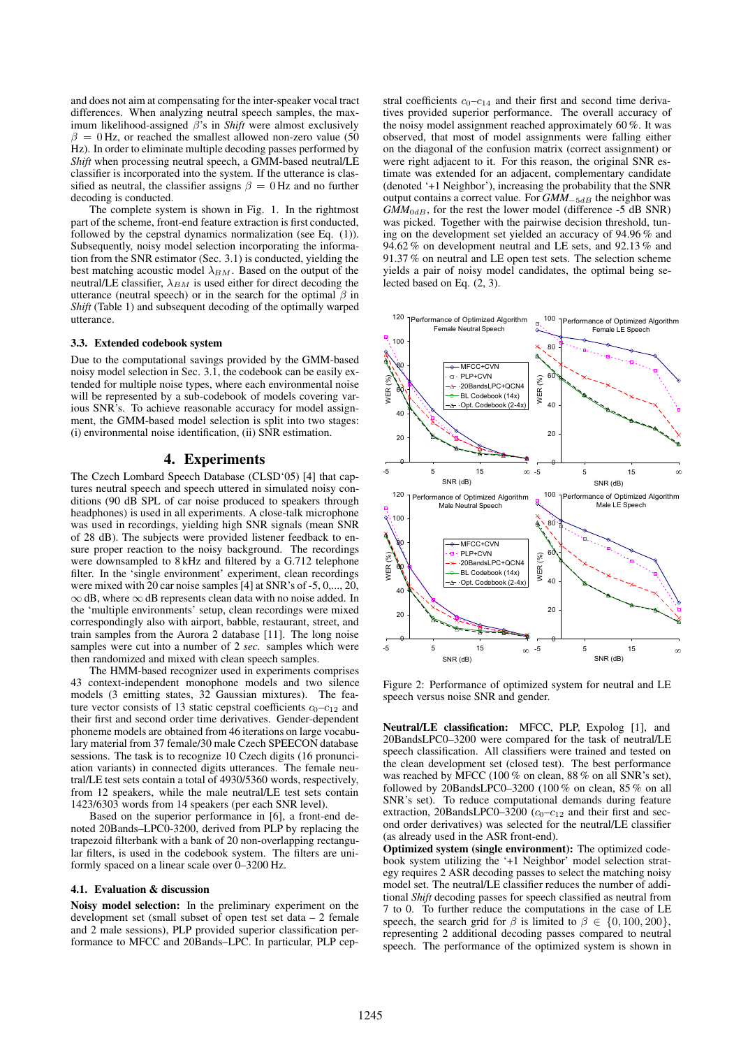and does not aim at compensating for the inter-speaker vocal tract differences. When analyzing neutral speech samples, the maximum likelihood-assigned β's in *Shift* were almost exclusively  $\beta = 0$  Hz, or reached the smallest allowed non-zero value (50) Hz). In order to eliminate multiple decoding passes performed by *Shift* when processing neutral speech, a GMM-based neutral/LE classifier is incorporated into the system. If the utterance is classified as neutral, the classifier assigns  $\beta = 0$  Hz and no further decoding is conducted.

The complete system is shown in Fig. 1. In the rightmost part of the scheme, front-end feature extraction is first conducted, followed by the cepstral dynamics normalization (see Eq. (1)). Subsequently, noisy model selection incorporating the information from the SNR estimator (Sec. 3.1) is conducted, yielding the best matching acoustic model  $\lambda_{BM}$ . Based on the output of the neutral/LE classifier,  $\lambda_{BM}$  is used either for direct decoding the utterance (neutral speech) or in the search for the optimal  $\beta$  in *Shift* (Table 1) and subsequent decoding of the optimally warped utterance.

#### **3.3. Extended codebook system**

Due to the computational savings provided by the GMM-based noisy model selection in Sec. 3.1, the codebook can be easily extended for multiple noise types, where each environmental noise will be represented by a sub-codebook of models covering various SNR's. To achieve reasonable accuracy for model assignment, the GMM-based model selection is split into two stages: (i) environmental noise identification, (ii) SNR estimation.

# **4. Experiments**

The Czech Lombard Speech Database (CLSD'05) [4] that captures neutral speech and speech uttered in simulated noisy conditions (90 dB SPL of car noise produced to speakers through headphones) is used in all experiments. A close-talk microphone was used in recordings, yielding high SNR signals (mean SNR of 28 dB). The subjects were provided listener feedback to ensure proper reaction to the noisy background. The recordings were downsampled to 8 kHz and filtered by a G.712 telephone filter. In the 'single environment' experiment, clean recordings were mixed with 20 car noise samples [4] at SNR's of -5, 0,..., 20,  $\infty$  dB, where  $\infty$  dB represents clean data with no noise added. In the 'multiple environments' setup, clean recordings were mixed correspondingly also with airport, babble, restaurant, street, and train samples from the Aurora 2 database [11]. The long noise samples were cut into a number of 2 *sec.* samples which were then randomized and mixed with clean speech samples.

The HMM-based recognizer used in experiments comprises 43 context-independent monophone models and two silence models (3 emitting states, 32 Gaussian mixtures). The feature vector consists of 13 static cepstral coefficients  $c_0-c_{12}$  and their first and second order time derivatives. Gender-dependent phoneme models are obtained from 46 iterations on large vocabulary material from 37 female/30 male Czech SPEECON database sessions. The task is to recognize 10 Czech digits (16 pronunciation variants) in connected digits utterances. The female neutral/LE test sets contain a total of 4930/5360 words, respectively, from 12 speakers, while the male neutral/LE test sets contain 1423/6303 words from 14 speakers (per each SNR level).

Based on the superior performance in [6], a front-end denoted 20Bands–LPC0-3200, derived from PLP by replacing the trapezoid filterbank with a bank of 20 non-overlapping rectangular filters, is used in the codebook system. The filters are uniformly spaced on a linear scale over 0–3200 Hz.

#### **4.1. Evaluation & discussion**

**Noisy model selection:** In the preliminary experiment on the development set (small subset of open test set data – 2 female and 2 male sessions), PLP provided superior classification performance to MFCC and 20Bands–LPC. In particular, PLP cepstral coefficients  $c_0$ - $c_{14}$  and their first and second time derivatives provided superior performance. The overall accuracy of the noisy model assignment reached approximately 60 %. It was observed, that most of model assignments were falling either on the diagonal of the confusion matrix (correct assignment) or were right adjacent to it. For this reason, the original SNR estimate was extended for an adjacent, complementary candidate (denoted '+1 Neighbor'), increasing the probability that the SNR output contains a correct value. For *GMM*<sub>−5dB</sub> the neighbor was  $G\overline{M}M_{0dB}$ , for the rest the lower model (difference -5 dB SNR) was picked. Together with the pairwise decision threshold, tuning on the development set yielded an accuracy of 94.96 % and 94.62 % on development neutral and LE sets, and 92.13 % and 91.37 % on neutral and LE open test sets. The selection scheme yields a pair of noisy model candidates, the optimal being selected based on Eq. (2, 3).



Figure 2: Performance of optimized system for neutral and LE speech versus noise SNR and gender.

**Neutral/LE classification:** MFCC, PLP, Expolog [1], and 20BandsLPC0–3200 were compared for the task of neutral/LE speech classification. All classifiers were trained and tested on the clean development set (closed test). The best performance was reached by MFCC (100  $\%$  on clean, 88  $\%$  on all SNR's set). followed by 20BandsLPC0–3200 (100 % on clean,  $85\%$  on all SNR's set). To reduce computational demands during feature extraction, 20BandsLPC0–3200 ( $c_0$ – $c_{12}$  and their first and second order derivatives) was selected for the neutral/LE classifier (as already used in the ASR front-end).

**Optimized system (single environment):** The optimized codebook system utilizing the '+1 Neighbor' model selection strategy requires 2 ASR decoding passes to select the matching noisy model set. The neutral/LE classifier reduces the number of additional *Shift* decoding passes for speech classified as neutral from 7 to 0. To further reduce the computations in the case of LE speech, the search grid for  $\beta$  is limited to  $\beta \in \{0, 100, 200\},\$ representing 2 additional decoding passes compared to neutral speech. The performance of the optimized system is shown in